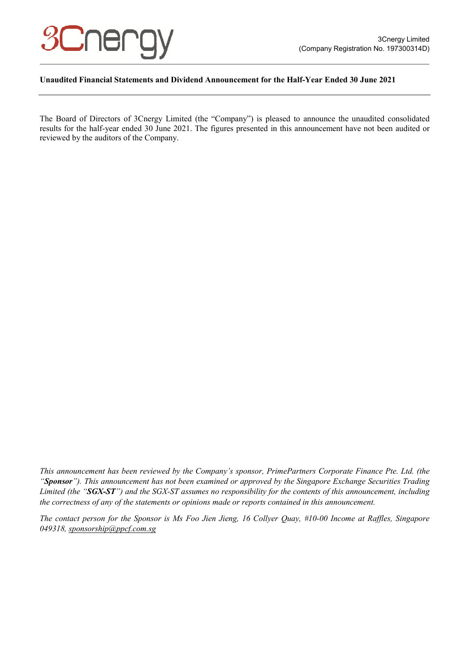

#### **Unaudited Financial Statements and Dividend Announcement for the Half-Year Ended 30 June 2021**

The Board of Directors of 3Cnergy Limited (the "Company") is pleased to announce the unaudited consolidated results for the half-year ended 30 June 2021. The figures presented in this announcement have not been audited or reviewed by the auditors of the Company.

*This announcement has been reviewed by the Company's sponsor, PrimePartners Corporate Finance Pte. Ltd. (the "Sponsor"). This announcement has not been examined or approved by the Singapore Exchange Securities Trading Limited (the "SGX-ST") and the SGX-ST assumes no responsibility for the contents of this announcement, including the correctness of any of the statements or opinions made or reports contained in this announcement.* 

*The contact person for the Sponsor is Ms Foo Jien Jieng, 16 Collyer Quay, #10-00 Income at Raffles, Singapore 049318, sponsorship@ppcf.com.sg*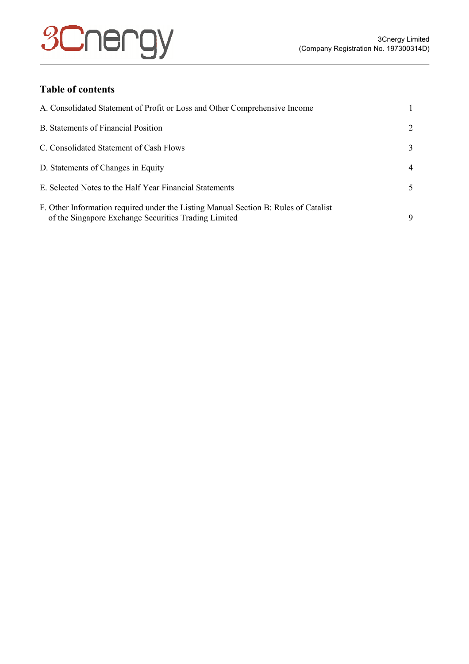# **3Cnergy**

# **Table of contents**

| A. Consolidated Statement of Profit or Loss and Other Comprehensive Income                                                                  |    |
|---------------------------------------------------------------------------------------------------------------------------------------------|----|
| <b>B.</b> Statements of Financial Position                                                                                                  | 2  |
| C. Consolidated Statement of Cash Flows                                                                                                     | 3  |
| D. Statements of Changes in Equity                                                                                                          | 4  |
| E. Selected Notes to the Half Year Financial Statements                                                                                     | 5. |
| F. Other Information required under the Listing Manual Section B: Rules of Catalist<br>of the Singapore Exchange Securities Trading Limited | 9  |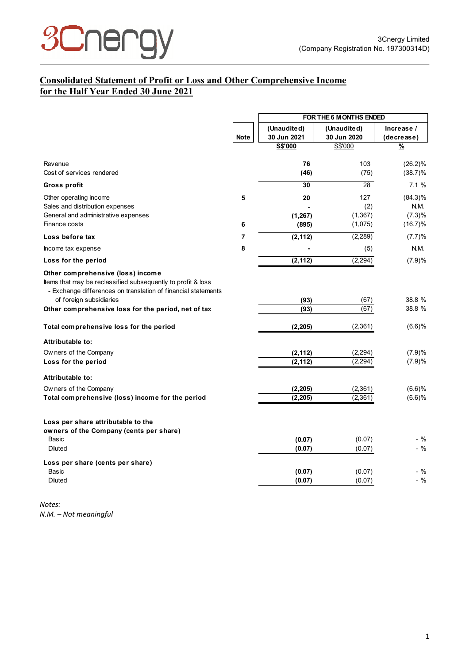

# **Consolidated Statement of Profit or Loss and Other Comprehensive Income for the Half Year Ended 30 June 2021**

|                                                                                                                                                                    |                | FOR THE 6 MONTHS ENDED |                  |               |
|--------------------------------------------------------------------------------------------------------------------------------------------------------------------|----------------|------------------------|------------------|---------------|
|                                                                                                                                                                    |                | (Unaudited)            | (Unaudited)      | Increase /    |
|                                                                                                                                                                    | <b>Note</b>    | 30 Jun 2021            | 30 Jun 2020      | (decrease)    |
|                                                                                                                                                                    |                | S\$'000                | S\$'000          | $\frac{9}{6}$ |
| Revenue                                                                                                                                                            |                | 76                     | 103              | $(26.2)\%$    |
| Cost of services rendered                                                                                                                                          |                | (46)                   | (75)             | $(38.7)\%$    |
| <b>Gross profit</b>                                                                                                                                                |                | 30                     | 28               | 7.1%          |
| Other operating income                                                                                                                                             | 5              | 20                     | 127              | $(84.3)\%$    |
| Sales and distribution expenses                                                                                                                                    |                |                        | (2)              | <b>N.M.</b>   |
| General and administrative expenses                                                                                                                                |                | (1, 267)               | (1, 367)         | (7.3)%        |
| Finance costs                                                                                                                                                      | 6              | (895)                  | (1,075)          | (16.7)%       |
| Loss before tax                                                                                                                                                    | $\overline{7}$ | (2, 112)               | (2, 289)         | (7.7)%        |
| Income tax expense                                                                                                                                                 | 8              |                        | (5)              | N.M.          |
| Loss for the period                                                                                                                                                |                | (2, 112)               | (2, 294)         | (7.9)%        |
| Other comprehensive (loss) income<br>Items that may be reclassified subsequently to profit & loss<br>- Exchange differences on translation of financial statements |                |                        |                  |               |
| of foreign subsidiaries                                                                                                                                            |                | (93)                   | (67)             | 38.8 %        |
| Other comprehensive loss for the period, net of tax                                                                                                                |                | (93)                   | (67)             | 38.8 %        |
| Total comprehensive loss for the period                                                                                                                            |                | (2, 205)               | (2, 361)         | (6.6)%        |
| Attributable to:                                                                                                                                                   |                |                        |                  |               |
| Ow ners of the Company                                                                                                                                             |                | (2, 112)               | (2, 294)         | (7.9)%        |
| Loss for the period                                                                                                                                                |                | (2, 112)               | (2, 294)         | (7.9)%        |
| Attributable to:                                                                                                                                                   |                |                        |                  |               |
| Ow ners of the Company                                                                                                                                             |                | (2, 205)               | (2,361)          | (6.6)%        |
| Total comprehensive (loss) income for the period                                                                                                                   |                | (2, 205)               | (2, 361)         | (6.6)%        |
| Loss per share attributable to the<br>owners of the Company (cents per share)<br>Basic                                                                             |                | (0.07)                 | (0.07)           | - %           |
| <b>Diluted</b>                                                                                                                                                     |                | (0.07)                 | (0.07)           | - %           |
| Loss per share (cents per share)                                                                                                                                   |                |                        |                  |               |
| Basic<br><b>Diluted</b>                                                                                                                                            |                | (0.07)<br>(0.07)       | (0.07)<br>(0.07) | - %<br>- %    |
|                                                                                                                                                                    |                |                        |                  |               |

*Notes: N.M. – Not meaningful*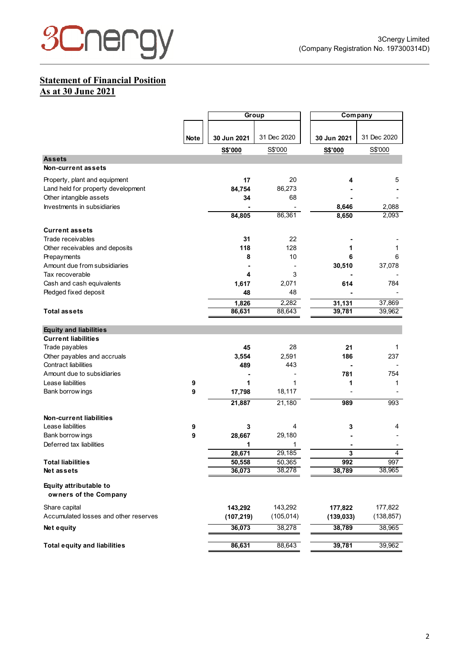

## **Statement of Financial Position As at 30 June 2021**

|                                                 |             |             | Group       |                | Company          |
|-------------------------------------------------|-------------|-------------|-------------|----------------|------------------|
|                                                 |             |             |             |                |                  |
|                                                 | <b>Note</b> | 30 Jun 2021 | 31 Dec 2020 | 30 Jun 2021    | 31 Dec 2020      |
|                                                 |             | S\$'000     | S\$'000     | <b>S\$'000</b> | S\$'000          |
| <b>Assets</b>                                   |             |             |             |                |                  |
| <b>Non-current assets</b>                       |             |             |             |                |                  |
| Property, plant and equipment                   |             | 17          | 20          | 4              | 5                |
| Land held for property development              |             | 84,754      | 86,273      |                |                  |
| Other intangible assets                         |             | 34          | 68          |                |                  |
| Investments in subsidiaries                     |             |             |             | 8,646          | 2,088            |
|                                                 |             | 84,805      | 86,361      | 8,650          | 2,093            |
| <b>Current assets</b>                           |             |             |             |                |                  |
| Trade receivables                               |             | 31          | 22          |                |                  |
| Other receivables and deposits                  |             | 118         | 128         | 1              | 1                |
| Prepayments                                     |             | 8           | 10          | 6              | 6                |
| Amount due from subsidiaries                    |             |             |             | 30,510         | 37,078           |
| Tax recoverable                                 |             | 4           | 3           |                |                  |
| Cash and cash equivalents                       |             | 1,617       | 2,071       | 614            | 784              |
| Pledged fixed deposit                           |             | 48          | 48          |                |                  |
|                                                 |             | 1,826       | 2,282       | 31,131         |                  |
| Total assets                                    |             | 86,631      | 88,643      | 39,781         | 37,869<br>39,962 |
|                                                 |             |             |             |                |                  |
| <b>Equity and liabilities</b>                   |             |             |             |                |                  |
| <b>Current liabilities</b>                      |             |             |             |                |                  |
| Trade payables                                  |             | 45          | 28          | 21             | 1                |
| Other payables and accruals                     |             | 3,554       | 2,591       | 186            | 237              |
| <b>Contract liabilities</b>                     |             | 489         | 443         |                |                  |
| Amount due to subsidiaries                      |             |             |             | 781            | 754              |
| Lease liabilities                               | 9           | 1           | 1           | 1              | 1                |
| Bank borrow ings                                | 9           | 17,798      | 18,117      |                |                  |
|                                                 |             | 21,887      | 21,180      | 989            | 993              |
| Non-current liabilities                         |             |             |             |                |                  |
| Lease liabilities                               | 9           | 3           | 4           | 3              | 4                |
| Bank borrow ings                                | 9           | 28,667      | 29,180      |                |                  |
| Deferred tax liabilities                        |             | 1           | 1           |                |                  |
|                                                 |             | 28,671      | 29,185      | 3              | 4                |
| <b>Total liabilities</b>                        |             | 50,558      | 50,365      | 992            | 997              |
| Net assets                                      |             | 36,073      | 38,278      | 38,789         | 38,965           |
| Equity attributable to<br>owners of the Company |             |             |             |                |                  |
| Share capital                                   |             | 143,292     | 143,292     | 177,822        | 177,822          |
| Accumulated losses and other reserves           |             | (107, 219)  | (105, 014)  | (139, 033)     | (138, 857)       |
| Net equity                                      |             | 36,073      | 38,278      | 38,789         | 38,965           |
|                                                 |             |             |             |                |                  |
| <b>Total equity and liabilities</b>             |             | 86,631      | 88,643      | 39,781         | 39,962           |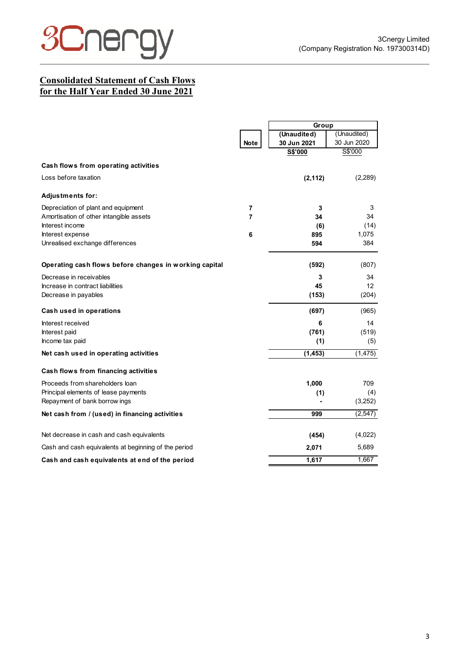

# **Consolidated Statement of Cash Flows for the Half Year Ended 30 June 2021**

|                                                        |                | Group       |             |
|--------------------------------------------------------|----------------|-------------|-------------|
|                                                        |                | (Unaudited) | (Unaudited) |
|                                                        | <b>Note</b>    | 30 Jun 2021 | 30 Jun 2020 |
|                                                        |                | S\$'000     | S\$'000     |
| Cash flows from operating activities                   |                |             |             |
| Loss before taxation                                   |                | (2, 112)    | (2,289)     |
| <b>Adjustments for:</b>                                |                |             |             |
| Depreciation of plant and equipment                    | $\overline{7}$ | 3           | 3           |
| Amortisation of other intangible assets                | 7              | 34          | 34          |
| Interest income                                        |                | (6)         | (14)        |
| Interest expense                                       | 6              | 895         | 1,075       |
| Unrealised exchange differences                        |                | 594         | 384         |
| Operating cash flows before changes in working capital |                | (592)       | (807)       |
| Decrease in receivables                                |                | 3           | 34          |
| Increase in contract liabilities                       |                | 45          | 12          |
| Decrease in payables                                   |                | (153)       | (204)       |
| Cash used in operations                                |                | (697)       | (965)       |
| Interest received                                      |                | 6           | 14          |
| Interest paid                                          |                | (761)       | (519)       |
| Income tax paid                                        |                | (1)         | (5)         |
| Net cash used in operating activities                  |                | (1, 453)    | (1, 475)    |
| Cash flows from financing activities                   |                |             |             |
| Proceeds from shareholders loan                        |                | 1,000       | 709         |
| Principal elements of lease payments                   |                | (1)         | (4)         |
| Repayment of bank borrow ings                          |                |             | (3,252)     |
| Net cash from / (used) in financing activities         |                | 999         | (2, 547)    |
| Net decrease in cash and cash equivalents              |                | (454)       | (4,022)     |
| Cash and cash equivalents at beginning of the period   |                | 2,071       | 5,689       |
| Cash and cash equivalents at end of the period         |                | 1,617       | 1,667       |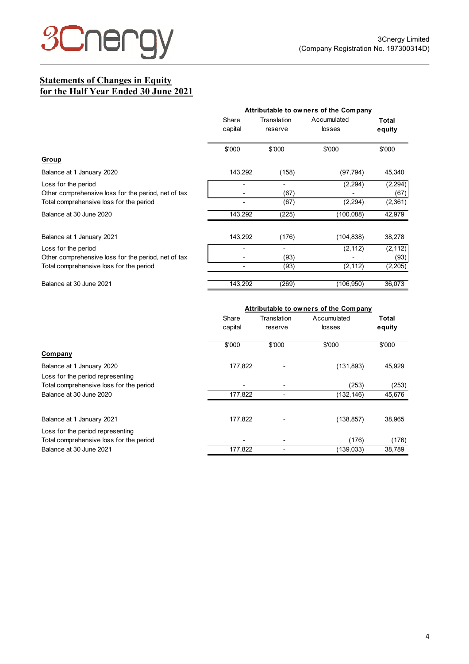

# **Statements of Changes in Equity for the Half Year Ended 30 June 2021**

|                                                     | Attributable to owners of the Company |                        |                       |                 |  |
|-----------------------------------------------------|---------------------------------------|------------------------|-----------------------|-----------------|--|
|                                                     | Share<br>capital                      | Translation<br>reserve | Accumulated<br>losses | Total<br>equity |  |
|                                                     | \$'000                                | \$'000                 | \$'000                | \$'000          |  |
| Group                                               |                                       |                        |                       |                 |  |
| Balance at 1 January 2020                           | 143,292                               | (158)                  | (97, 794)             | 45,340          |  |
| Loss for the period                                 |                                       |                        | (2, 294)              | (2, 294)        |  |
| Other comprehensive loss for the period, net of tax |                                       | (67)                   |                       | (67)            |  |
| Total comprehensive loss for the period             |                                       | (67)                   | (2, 294)              | (2,361)         |  |
| Balance at 30 June 2020                             | 143,292                               | (225)                  | (100, 088)            | 42,979          |  |
| Balance at 1 January 2021                           | 143,292                               | (176)                  | (104, 838)            | 38,278          |  |
| Loss for the period                                 |                                       |                        | (2, 112)              | (2, 112)        |  |
| Other comprehensive loss for the period, net of tax |                                       | (93)                   |                       | (93)            |  |
| Total comprehensive loss for the period             |                                       | (93)                   | (2, 112)              | (2,205)         |  |
| Balance at 30 June 2021                             | 143,292                               | (269)                  | (106, 950)            | 36,073          |  |

|                                                                             | Attributable to owners of the Company |                        |                       |                 |  |
|-----------------------------------------------------------------------------|---------------------------------------|------------------------|-----------------------|-----------------|--|
|                                                                             | Share<br>capital                      | Translation<br>reserve | Accumulated<br>losses | Total<br>equity |  |
| Company                                                                     | \$'000                                | \$'000                 | \$'000                | \$'000          |  |
| Balance at 1 January 2020<br>Loss for the period representing               | 177,822                               |                        | (131, 893)            | 45,929          |  |
| Total comprehensive loss for the period                                     |                                       |                        | (253)                 | (253)           |  |
| Balance at 30 June 2020                                                     | 177,822                               |                        | (132, 146)            | 45,676          |  |
| Balance at 1 January 2021                                                   | 177,822                               |                        | (138, 857)            | 38,965          |  |
| Loss for the period representing<br>Total comprehensive loss for the period |                                       | -                      | (176)                 | (176)           |  |
| Balance at 30 June 2021                                                     | 177.822                               |                        | (139, 033)            | 38,789          |  |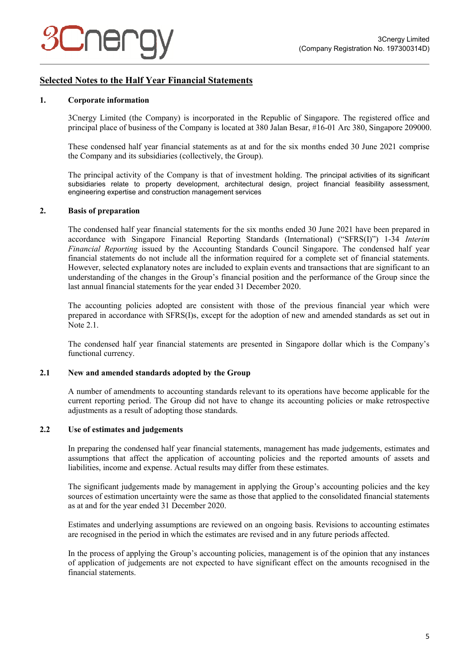## **Selected Notes to the Half Year Financial Statements**

#### **1. Corporate information**

3Cnergy Limited (the Company) is incorporated in the Republic of Singapore. The registered office and principal place of business of the Company is located at 380 Jalan Besar, #16-01 Arc 380, Singapore 209000.

These condensed half year financial statements as at and for the six months ended 30 June 2021 comprise the Company and its subsidiaries (collectively, the Group).

The principal activity of the Company is that of investment holding. The principal activities of its significant subsidiaries relate to property development, architectural design, project financial feasibility assessment, engineering expertise and construction management services

#### **2. Basis of preparation**

The condensed half year financial statements for the six months ended 30 June 2021 have been prepared in accordance with Singapore Financial Reporting Standards (International) ("SFRS(I)") 1-34 *Interim Financial Reporting* issued by the Accounting Standards Council Singapore. The condensed half year financial statements do not include all the information required for a complete set of financial statements. However, selected explanatory notes are included to explain events and transactions that are significant to an understanding of the changes in the Group's financial position and the performance of the Group since the last annual financial statements for the year ended 31 December 2020.

The accounting policies adopted are consistent with those of the previous financial year which were prepared in accordance with SFRS(I)s, except for the adoption of new and amended standards as set out in Note 2.1.

The condensed half year financial statements are presented in Singapore dollar which is the Company's functional currency.

#### **2.1 New and amended standards adopted by the Group**

A number of amendments to accounting standards relevant to its operations have become applicable for the current reporting period. The Group did not have to change its accounting policies or make retrospective adjustments as a result of adopting those standards.

#### **2.2 Use of estimates and judgements**

In preparing the condensed half year financial statements, management has made judgements, estimates and assumptions that affect the application of accounting policies and the reported amounts of assets and liabilities, income and expense. Actual results may differ from these estimates.

The significant judgements made by management in applying the Group's accounting policies and the key sources of estimation uncertainty were the same as those that applied to the consolidated financial statements as at and for the year ended 31 December 2020.

Estimates and underlying assumptions are reviewed on an ongoing basis. Revisions to accounting estimates are recognised in the period in which the estimates are revised and in any future periods affected.

In the process of applying the Group's accounting policies, management is of the opinion that any instances of application of judgements are not expected to have significant effect on the amounts recognised in the financial statements.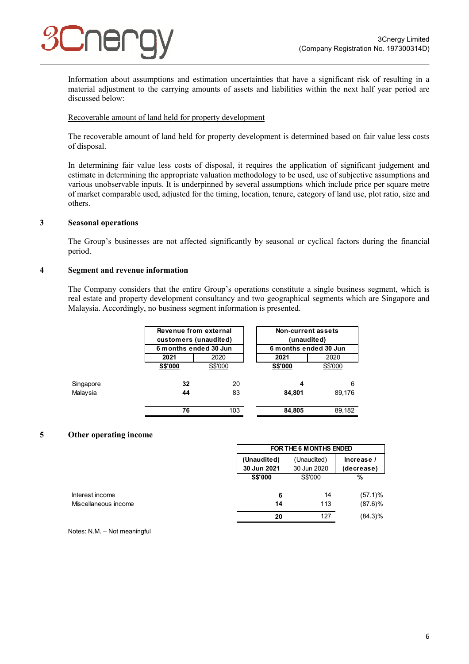

Information about assumptions and estimation uncertainties that have a significant risk of resulting in a material adjustment to the carrying amounts of assets and liabilities within the next half year period are discussed below:

#### Recoverable amount of land held for property development

The recoverable amount of land held for property development is determined based on fair value less costs of disposal.

In determining fair value less costs of disposal, it requires the application of significant judgement and estimate in determining the appropriate valuation methodology to be used, use of subjective assumptions and various unobservable inputs. It is underpinned by several assumptions which include price per square metre of market comparable used, adjusted for the timing, location, tenure, category of land use, plot ratio, size and others.

#### **3 Seasonal operations**

The Group's businesses are not affected significantly by seasonal or cyclical factors during the financial period.

#### **4 Segment and revenue information**

The Company considers that the entire Group's operations constitute a single business segment, which is real estate and property development consultancy and two geographical segments which are Singapore and Malaysia. Accordingly, no business segment information is presented.

|           | Revenue from external<br>customers (unaudited)<br>6 months ended 30 Jun |         | <b>Non-current assets</b><br>(unaudited)<br>6 months ended 30 Jun |         |
|-----------|-------------------------------------------------------------------------|---------|-------------------------------------------------------------------|---------|
|           | 2021                                                                    | 2020    |                                                                   | 2020    |
|           | <b>S\$'000</b>                                                          | S\$'000 | <b>S\$'000</b>                                                    | S\$'000 |
| Singapore | 32                                                                      | 20      | 4                                                                 | 6       |
| Malaysia  | 44                                                                      | 83      | 84,801                                                            | 89,176  |
|           | 76                                                                      | 103     | 84,805                                                            | 89,182  |

#### **5 Other operating income**

|                      | FOR THE 6 MONTHS ENDED     |                            |                          |  |
|----------------------|----------------------------|----------------------------|--------------------------|--|
|                      | (Unaudited)<br>30 Jun 2021 | (Unaudited)<br>30 Jun 2020 | Increase /<br>(decrease) |  |
|                      | S\$'000                    | S\$'000                    | $\frac{9}{6}$            |  |
| Interest income      | 6                          | 14                         | $(57.1)\%$               |  |
| Miscellaneous income | 14                         | 113                        | $(87.6)\%$               |  |
|                      | 20                         | 127                        | $(84.3)\%$               |  |

Notes: N.M. – Not meaningful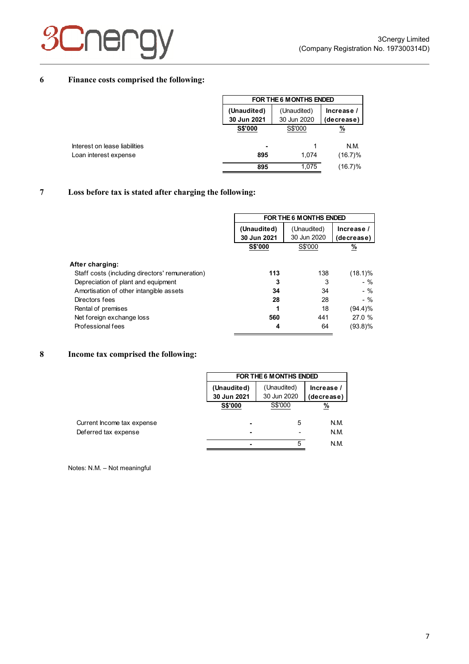# **3Cner**

### **6 Finance costs comprised the following:**

|                            | FOR THE 6 MONTHS ENDED     |                          |  |  |
|----------------------------|----------------------------|--------------------------|--|--|
| (Unaudited)<br>30 Jun 2021 | (Unaudited)<br>30 Jun 2020 | Increase /<br>(decrease) |  |  |
| <b>S\$'000</b>             | S\$'000                    | %                        |  |  |
| ۰.                         |                            | N.M.                     |  |  |
| 895                        | 1.074                      | $(16.7)\%$               |  |  |
| 895                        | 1.075                      | (16.7)%                  |  |  |

### **7 Loss before tax is stated after charging the following:**

|                                                                                        |             | FOR THE 6 MONTHS ENDED |                  |  |  |
|----------------------------------------------------------------------------------------|-------------|------------------------|------------------|--|--|
|                                                                                        | (Unaudited) | (Unaudited)            | Increase /       |  |  |
|                                                                                        | 30 Jun 2021 | 30 Jun 2020            | (decrease)       |  |  |
|                                                                                        | S\$'000     | S\$'000                | %                |  |  |
| After charging:                                                                        |             |                        |                  |  |  |
| Staff costs (including directors' remuneration)<br>Depreciation of plant and equipment | 113<br>3    | 138<br>3               | (18.1)%<br>$-$ % |  |  |
| Amortisation of other intangible assets                                                | 34          | 34                     | $-$ %            |  |  |
| Directors fees                                                                         | 28          | 28                     | $-$ %            |  |  |
| Rental of premises                                                                     | 1           | 18                     | (94.4)%          |  |  |
| Net foreign exchange loss                                                              | 560         | 441                    | 27.0 %           |  |  |
| Professional fees                                                                      | 4           | 64                     | (93.8)%          |  |  |

### **8 Income tax comprised the following:**

|                            |                            | FOR THE 6 M ONTHS ENDED                                |          |  |  |  |
|----------------------------|----------------------------|--------------------------------------------------------|----------|--|--|--|
|                            | (Unaudited)<br>30 Jun 2021 | (Unaudited)<br>Increase /<br>30 Jun 2020<br>(decrease) |          |  |  |  |
|                            | <b>S\$'000</b>             | S\$'000                                                | <u>%</u> |  |  |  |
| Current Income tax expense |                            | 5                                                      | N.M.     |  |  |  |
| Deferred tax expense       |                            |                                                        | N.M.     |  |  |  |
|                            | -                          | 5                                                      | N.M.     |  |  |  |

Notes: N.M. – Not meaningful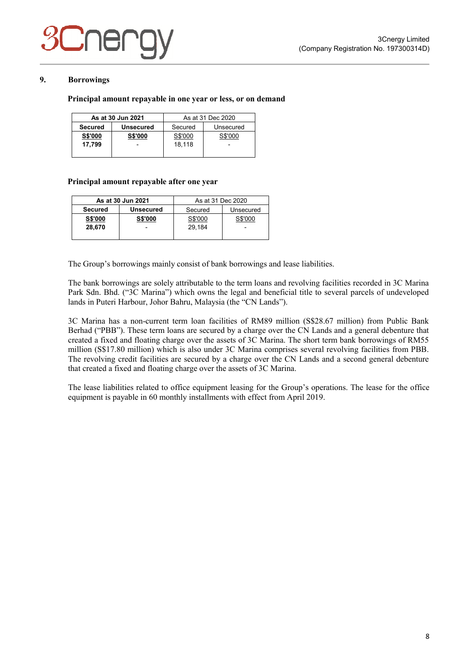

#### **9. Borrowings**

#### **Principal amount repayable in one year or less, or on demand**

|                | As at 30 Jun 2021        | As at 31 Dec 2020    |         |
|----------------|--------------------------|----------------------|---------|
| <b>Secured</b> | <b>Unsecured</b>         | Secured<br>Unsecured |         |
| <b>S\$'000</b> | <b>S\$'000</b>           | S\$'000              | S\$'000 |
| 17.799         | $\overline{\phantom{0}}$ | 18.118               |         |
|                |                          |                      |         |

#### **Principal amount repayable after one year**

| As at 30 Jun 2021 |                  | As at 31 Dec 2020 |           |  |
|-------------------|------------------|-------------------|-----------|--|
| <b>Secured</b>    | <b>Unsecured</b> | Secured           | Unsecured |  |
| <b>S\$'000</b>    | <b>S\$'000</b>   | S\$'000           | S\$'000   |  |
| 28.670            | -                | 29.184            |           |  |
|                   |                  |                   |           |  |

The Group's borrowings mainly consist of bank borrowings and lease liabilities.

The bank borrowings are solely attributable to the term loans and revolving facilities recorded in 3C Marina Park Sdn. Bhd. ("3C Marina") which owns the legal and beneficial title to several parcels of undeveloped lands in Puteri Harbour, Johor Bahru, Malaysia (the "CN Lands").

3C Marina has a non-current term loan facilities of RM89 million (S\$28.67 million) from Public Bank Berhad ("PBB"). These term loans are secured by a charge over the CN Lands and a general debenture that created a fixed and floating charge over the assets of 3C Marina. The short term bank borrowings of RM55 million (S\$17.80 million) which is also under 3C Marina comprises several revolving facilities from PBB. The revolving credit facilities are secured by a charge over the CN Lands and a second general debenture that created a fixed and floating charge over the assets of 3C Marina.

The lease liabilities related to office equipment leasing for the Group's operations. The lease for the office equipment is payable in 60 monthly installments with effect from April 2019.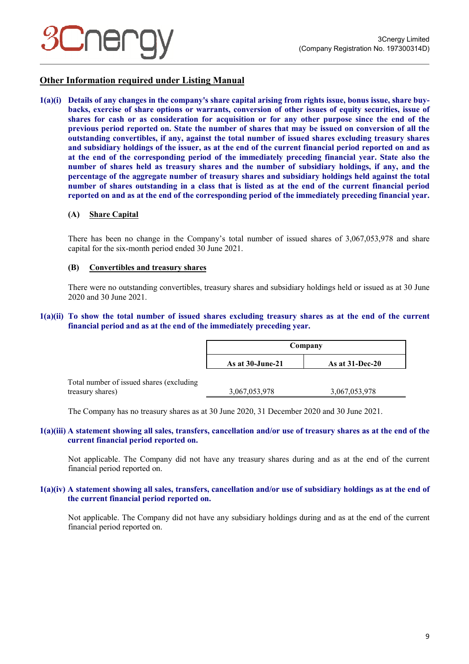

### **Other Information required under Listing Manual**

**1(a)(i) Details of any changes in the company's share capital arising from rights issue, bonus issue, share buybacks, exercise of share options or warrants, conversion of other issues of equity securities, issue of shares for cash or as consideration for acquisition or for any other purpose since the end of the previous period reported on. State the number of shares that may be issued on conversion of all the outstanding convertibles, if any, against the total number of issued shares excluding treasury shares and subsidiary holdings of the issuer, as at the end of the current financial period reported on and as at the end of the corresponding period of the immediately preceding financial year. State also the number of shares held as treasury shares and the number of subsidiary holdings, if any, and the percentage of the aggregate number of treasury shares and subsidiary holdings held against the total number of shares outstanding in a class that is listed as at the end of the current financial period reported on and as at the end of the corresponding period of the immediately preceding financial year.**

#### **(A) Share Capital**

There has been no change in the Company's total number of issued shares of 3,067,053,978 and share capital for the six-month period ended 30 June 2021.

#### **(B) Convertibles and treasury shares**

There were no outstanding convertibles, treasury shares and subsidiary holdings held or issued as at 30 June 2020 and 30 June 2021.

#### **1(a)(ii) To show the total number of issued shares excluding treasury shares as at the end of the current financial period and as at the end of the immediately preceding year.**

|                                           | Company             |                    |  |
|-------------------------------------------|---------------------|--------------------|--|
|                                           | As at $30$ -June-21 | As at $31$ -Dec-20 |  |
| Total number of issued shares (excluding) |                     |                    |  |

The Company has no treasury shares as at 30 June 2020, 31 December 2020 and 30 June 2021.

treasury shares) 3,067,053,978 3,067,053,978 3,067,053,978

#### **1(a)(iii) A statement showing all sales, transfers, cancellation and/or use of treasury shares as at the end of the current financial period reported on.**

Not applicable. The Company did not have any treasury shares during and as at the end of the current financial period reported on.

#### **1(a)(iv) A statement showing all sales, transfers, cancellation and/or use of subsidiary holdings as at the end of the current financial period reported on.**

Not applicable. The Company did not have any subsidiary holdings during and as at the end of the current financial period reported on.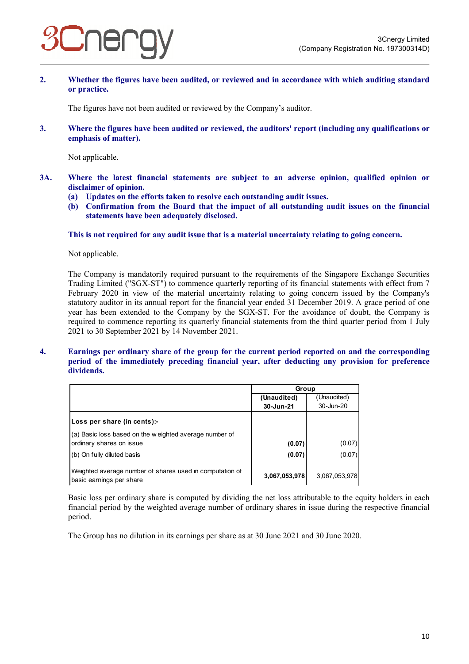

**2. Whether the figures have been audited, or reviewed and in accordance with which auditing standard or practice.** 

The figures have not been audited or reviewed by the Company's auditor.

**3. Where the figures have been audited or reviewed, the auditors' report (including any qualifications or emphasis of matter).** 

Not applicable.

- **3A. Where the latest financial statements are subject to an adverse opinion, qualified opinion or disclaimer of opinion.** 
	- **(a) Updates on the efforts taken to resolve each outstanding audit issues.**
	- **(b) Confirmation from the Board that the impact of all outstanding audit issues on the financial statements have been adequately disclosed.**

**This is not required for any audit issue that is a material uncertainty relating to going concern.** 

Not applicable.

The Company is mandatorily required pursuant to the requirements of the Singapore Exchange Securities Trading Limited ("SGX-ST") to commence quarterly reporting of its financial statements with effect from 7 February 2020 in view of the material uncertainty relating to going concern issued by the Company's statutory auditor in its annual report for the financial year ended 31 December 2019. A grace period of one year has been extended to the Company by the SGX-ST. For the avoidance of doubt, the Company is required to commence reporting its quarterly financial statements from the third quarter period from 1 July 2021 to 30 September 2021 by 14 November 2021.

#### **4. Earnings per ordinary share of the group for the current period reported on and the corresponding period of the immediately preceding financial year, after deducting any provision for preference dividends.**

|                                                                                      | Group         |               |
|--------------------------------------------------------------------------------------|---------------|---------------|
|                                                                                      | (Unaudited)   | (Unaudited)   |
|                                                                                      | 30-Jun-21     | 30-Jun-20     |
| Loss per share (in cents):-                                                          |               |               |
| (a) Basic loss based on the weighted average number of<br>ordinary shares on issue   | (0.07)        | (0.07)        |
| (b) On fully diluted basis                                                           | (0.07)        | (0.07)        |
| Weighted average number of shares used in computation of<br>basic earnings per share | 3,067,053,978 | 3,067,053,978 |

Basic loss per ordinary share is computed by dividing the net loss attributable to the equity holders in each financial period by the weighted average number of ordinary shares in issue during the respective financial period.

The Group has no dilution in its earnings per share as at 30 June 2021 and 30 June 2020.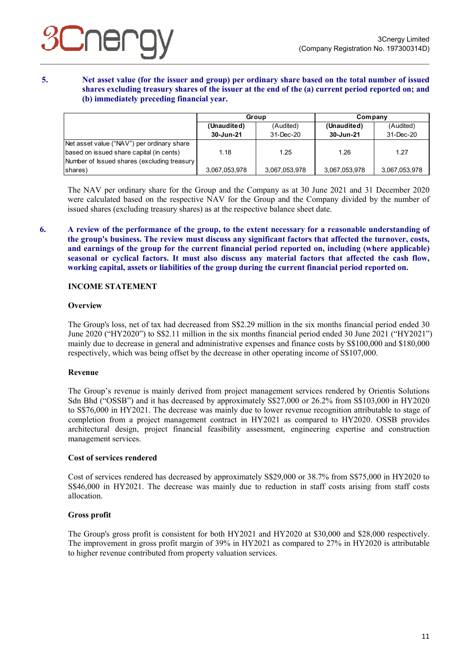**5. Net asset value (for the issuer and group) per ordinary share based on the total number of issued shares excluding treasury shares of the issuer at the end of the (a) current period reported on; and (b) immediately preceding financial year.** 

|                                             | Group         |               | Company       |               |
|---------------------------------------------|---------------|---------------|---------------|---------------|
|                                             | (Unaudited)   | (Audited)     | (Unaudited)   | (Audited)     |
|                                             | 30-Jun-21     | 31-Dec-20     | 30-Jun-21     | 31-Dec-20     |
| Net asset value ("NAV") per ordinary share  |               |               |               |               |
| based on issued share capital (in cents)    | 1.18          | 1.25          | 1.26          | 1.27          |
| Number of Issued shares (excluding treasury |               |               |               |               |
| shares)                                     | 3,067,053,978 | 3,067,053,978 | 3,067,053,978 | 3,067,053,978 |

The NAV per ordinary share for the Group and the Company as at 30 June 2021 and 31 December 2020 were calculated based on the respective NAV for the Group and the Company divided by the number of issued shares (excluding treasury shares) as at the respective balance sheet date.

**6. A review of the performance of the group, to the extent necessary for a reasonable understanding of the group's business. The review must discuss any significant factors that affected the turnover, costs, and earnings of the group for the current financial period reported on, including (where applicable) seasonal or cyclical factors. It must also discuss any material factors that affected the cash flow, working capital, assets or liabilities of the group during the current financial period reported on.** 

#### **INCOME STATEMENT**

#### **Overview**

The Group's loss, net of tax had decreased from S\$2.29 million in the six months financial period ended 30 June 2020 ("HY2020") to S\$2.11 million in the six months financial period ended 30 June 2021 ("HY2021") mainly due to decrease in general and administrative expenses and finance costs by S\$100,000 and \$180,000 respectively, which was being offset by the decrease in other operating income of S\$107,000.

#### **Revenue**

The Group's revenue is mainly derived from project management services rendered by Orientis Solutions Sdn Bhd ("OSSB") and it has decreased by approximately S\$27,000 or 26.2% from S\$103,000 in HY2020 to S\$76,000 in HY2021. The decrease was mainly due to lower revenue recognition attributable to stage of completion from a project management contract in HY2021 as compared to HY2020. OSSB provides architectural design, project financial feasibility assessment, engineering expertise and construction management services.

#### **Cost of services rendered**

Cost of services rendered has decreased by approximately S\$29,000 or 38.7% from S\$75,000 in HY2020 to S\$46,000 in HY2021. The decrease was mainly due to reduction in staff costs arising from staff costs allocation.

#### **Gross profit**

The Group's gross profit is consistent for both HY2021 and HY2020 at \$30,000 and \$28,000 respectively. The improvement in gross profit margin of 39% in HY2021 as compared to 27% in HY2020 is attributable to higher revenue contributed from property valuation services.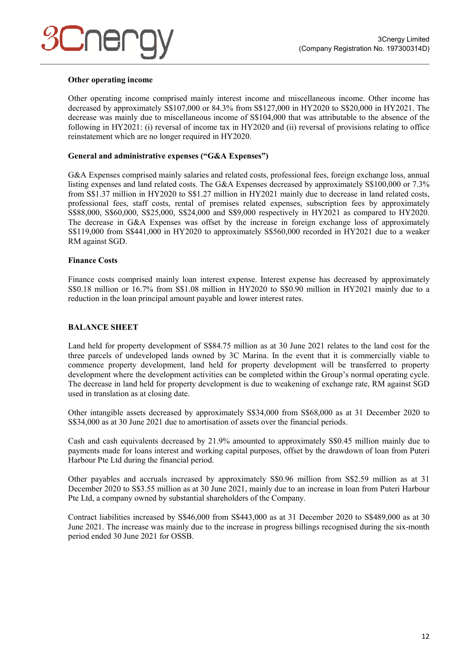#### **Other operating income**

Other operating income comprised mainly interest income and miscellaneous income. Other income has decreased by approximately S\$107,000 or 84.3% from S\$127,000 in HY2020 to S\$20,000 in HY2021. The decrease was mainly due to miscellaneous income of S\$104,000 that was attributable to the absence of the following in HY2021: (i) reversal of income tax in HY2020 and (ii) reversal of provisions relating to office reinstatement which are no longer required in HY2020.

#### **General and administrative expenses ("G&A Expenses")**

G&A Expenses comprised mainly salaries and related costs, professional fees, foreign exchange loss, annual listing expenses and land related costs. The G&A Expenses decreased by approximately S\$100,000 or 7.3% from S\$1.37 million in HY2020 to S\$1.27 million in HY2021 mainly due to decrease in land related costs, professional fees, staff costs, rental of premises related expenses, subscription fees by approximately S\$88,000, S\$60,000, S\$25,000, S\$24,000 and S\$9,000 respectively in HY2021 as compared to HY2020. The decrease in G&A Expenses was offset by the increase in foreign exchange loss of approximately S\$119,000 from S\$441,000 in HY2020 to approximately S\$560,000 recorded in HY2021 due to a weaker RM against SGD.

#### **Finance Costs**

Finance costs comprised mainly loan interest expense. Interest expense has decreased by approximately S\$0.18 million or 16.7% from S\$1.08 million in HY2020 to S\$0.90 million in HY2021 mainly due to a reduction in the loan principal amount payable and lower interest rates.

#### **BALANCE SHEET**

Land held for property development of S\$84.75 million as at 30 June 2021 relates to the land cost for the three parcels of undeveloped lands owned by 3C Marina. In the event that it is commercially viable to commence property development, land held for property development will be transferred to property development where the development activities can be completed within the Group's normal operating cycle. The decrease in land held for property development is due to weakening of exchange rate, RM against SGD used in translation as at closing date.

Other intangible assets decreased by approximately S\$34,000 from S\$68,000 as at 31 December 2020 to S\$34,000 as at 30 June 2021 due to amortisation of assets over the financial periods.

Cash and cash equivalents decreased by 21.9% amounted to approximately S\$0.45 million mainly due to payments made for loans interest and working capital purposes, offset by the drawdown of loan from Puteri Harbour Pte Ltd during the financial period.

Other payables and accruals increased by approximately S\$0.96 million from S\$2.59 million as at 31 December 2020 to S\$3.55 million as at 30 June 2021, mainly due to an increase in loan from Puteri Harbour Pte Ltd, a company owned by substantial shareholders of the Company.

Contract liabilities increased by S\$46,000 from S\$443,000 as at 31 December 2020 to S\$489,000 as at 30 June 2021. The increase was mainly due to the increase in progress billings recognised during the six-month period ended 30 June 2021 for OSSB.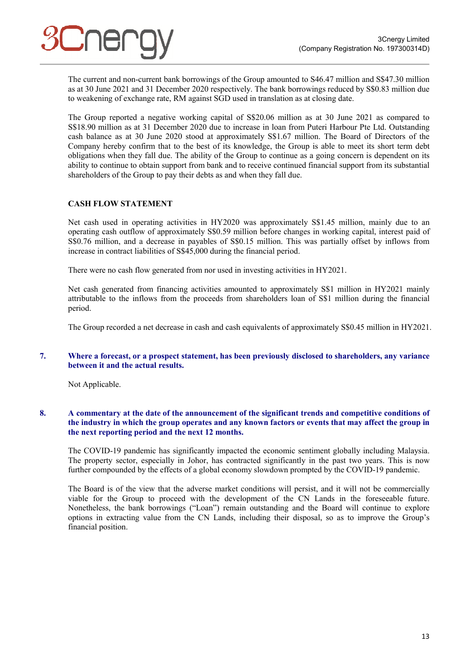The current and non-current bank borrowings of the Group amounted to S46.47 million and S\$47.30 million as at 30 June 2021 and 31 December 2020 respectively. The bank borrowings reduced by S\$0.83 million due to weakening of exchange rate, RM against SGD used in translation as at closing date.

The Group reported a negative working capital of S\$20.06 million as at 30 June 2021 as compared to S\$18.90 million as at 31 December 2020 due to increase in loan from Puteri Harbour Pte Ltd. Outstanding cash balance as at 30 June 2020 stood at approximately S\$1.67 million. The Board of Directors of the Company hereby confirm that to the best of its knowledge, the Group is able to meet its short term debt obligations when they fall due. The ability of the Group to continue as a going concern is dependent on its ability to continue to obtain support from bank and to receive continued financial support from its substantial shareholders of the Group to pay their debts as and when they fall due.

### **CASH FLOW STATEMENT**

Net cash used in operating activities in HY2020 was approximately S\$1.45 million, mainly due to an operating cash outflow of approximately S\$0.59 million before changes in working capital, interest paid of S\$0.76 million, and a decrease in payables of S\$0.15 million. This was partially offset by inflows from increase in contract liabilities of S\$45,000 during the financial period.

There were no cash flow generated from nor used in investing activities in HY2021.

Net cash generated from financing activities amounted to approximately S\$1 million in HY2021 mainly attributable to the inflows from the proceeds from shareholders loan of S\$1 million during the financial period.

The Group recorded a net decrease in cash and cash equivalents of approximately S\$0.45 million in HY2021.

#### **7. Where a forecast, or a prospect statement, has been previously disclosed to shareholders, any variance between it and the actual results.**

Not Applicable.

#### **8. A commentary at the date of the announcement of the significant trends and competitive conditions of the industry in which the group operates and any known factors or events that may affect the group in the next reporting period and the next 12 months.**

The COVID-19 pandemic has significantly impacted the economic sentiment globally including Malaysia. The property sector, especially in Johor, has contracted significantly in the past two years. This is now further compounded by the effects of a global economy slowdown prompted by the COVID-19 pandemic.

The Board is of the view that the adverse market conditions will persist, and it will not be commercially viable for the Group to proceed with the development of the CN Lands in the foreseeable future. Nonetheless, the bank borrowings ("Loan") remain outstanding and the Board will continue to explore options in extracting value from the CN Lands, including their disposal, so as to improve the Group's financial position.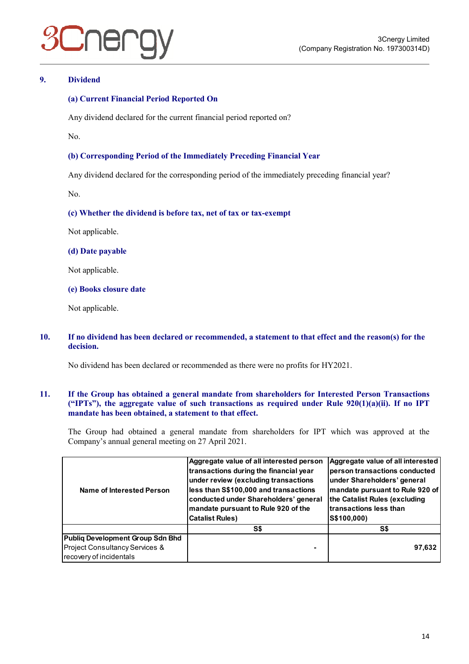### **9. Dividend**

#### **(a) Current Financial Period Reported On**

Any dividend declared for the current financial period reported on?

No.

#### **(b) Corresponding Period of the Immediately Preceding Financial Year**

Any dividend declared for the corresponding period of the immediately preceding financial year?

No.

#### **(c) Whether the dividend is before tax, net of tax or tax-exempt**

Not applicable.

#### **(d) Date payable**

Not applicable.

#### **(e) Books closure date**

Not applicable.

#### **10. If no dividend has been declared or recommended, a statement to that effect and the reason(s) for the decision.**

No dividend has been declared or recommended as there were no profits for HY2021.

#### **11. If the Group has obtained a general mandate from shareholders for Interested Person Transactions ("IPTs"), the aggregate value of such transactions as required under Rule 920(1)(a)(ii). If no IPT mandate has been obtained, a statement to that effect.**

The Group had obtained a general mandate from shareholders for IPT which was approved at the Company's annual general meeting on 27 April 2021.

| Name of Interested Person        | Aggregate value of all interested person<br>transactions during the financial year<br>under review (excluding transactions<br>less than S\$100,000 and transactions<br>conducted under Shareholders' general<br>mandate pursuant to Rule 920 of the<br><b>Catalist Rules)</b> | Aggregate value of all interested<br>person transactions conducted<br>under Shareholders' general<br>mandate pursuant to Rule 920 of<br>the Catalist Rules (excluding<br>transactions less than<br>S\$100,000) |
|----------------------------------|-------------------------------------------------------------------------------------------------------------------------------------------------------------------------------------------------------------------------------------------------------------------------------|----------------------------------------------------------------------------------------------------------------------------------------------------------------------------------------------------------------|
|                                  | S\$                                                                                                                                                                                                                                                                           | S\$                                                                                                                                                                                                            |
| Publiq Development Group Sdn Bhd |                                                                                                                                                                                                                                                                               |                                                                                                                                                                                                                |
| Project Consultancy Services &   |                                                                                                                                                                                                                                                                               | 97,632                                                                                                                                                                                                         |
| recovery of incidentals          |                                                                                                                                                                                                                                                                               |                                                                                                                                                                                                                |